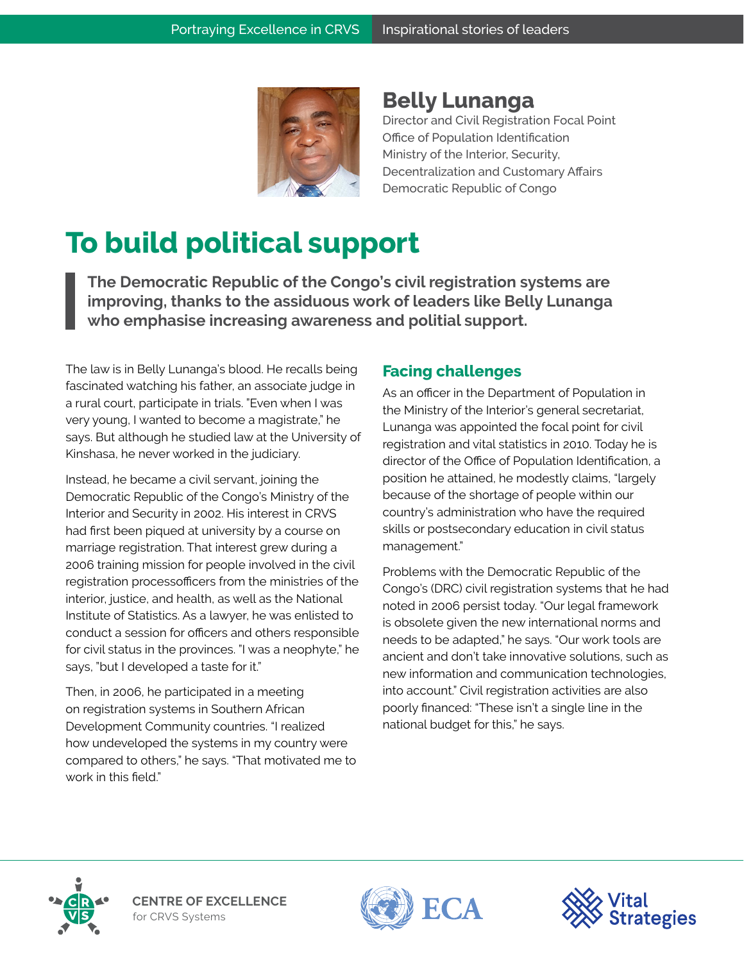

**Belly Lunanga** 

Director and Civil Registration Focal Point Office of Population Identification Ministry of the Interior, Security, Decentralization and Customary Affairs Democratic Republic of Congo

## **To build political support**

**The Democratic Republic of the Congo's civil registration systems are improving, thanks to the assiduous work of leaders like Belly Lunanga who emphasise increasing awareness and politial support.**

The law is in Belly Lunanga's blood. He recalls being fascinated watching his father, an associate judge in a rural court, participate in trials. "Even when I was very young, I wanted to become a magistrate," he says. But although he studied law at the University of Kinshasa, he never worked in the judiciary.

Instead, he became a civil servant, joining the Democratic Republic of the Congo's Ministry of the Interior and Security in 2002. His interest in CRVS had first been piqued at university by a course on marriage registration. That interest grew during a 2006 training mission for people involved in the civil registration processofficers from the ministries of the interior, justice, and health, as well as the National Institute of Statistics. As a lawyer, he was enlisted to conduct a session for officers and others responsible for civil status in the provinces. "I was a neophyte," he says, "but I developed a taste for it."

Then, in 2006, he participated in a meeting on registration systems in Southern African Development Community countries. "I realized how undeveloped the systems in my country were compared to others," he says. "That motivated me to work in this field."

## **Facing challenges**

As an officer in the Department of Population in the Ministry of the Interior's general secretariat, Lunanga was appointed the focal point for civil registration and vital statistics in 2010. Today he is director of the Office of Population Identification, a position he attained, he modestly claims, "largely because of the shortage of people within our country's administration who have the required skills or postsecondary education in civil status management."

Problems with the Democratic Republic of the Congo's (DRC) civil registration systems that he had noted in 2006 persist today. "Our legal framework is obsolete given the new international norms and needs to be adapted," he says. "Our work tools are ancient and don't take innovative solutions, such as new information and communication technologies, into account." Civil registration activities are also poorly financed: "These isn't a single line in the national budget for this," he says.